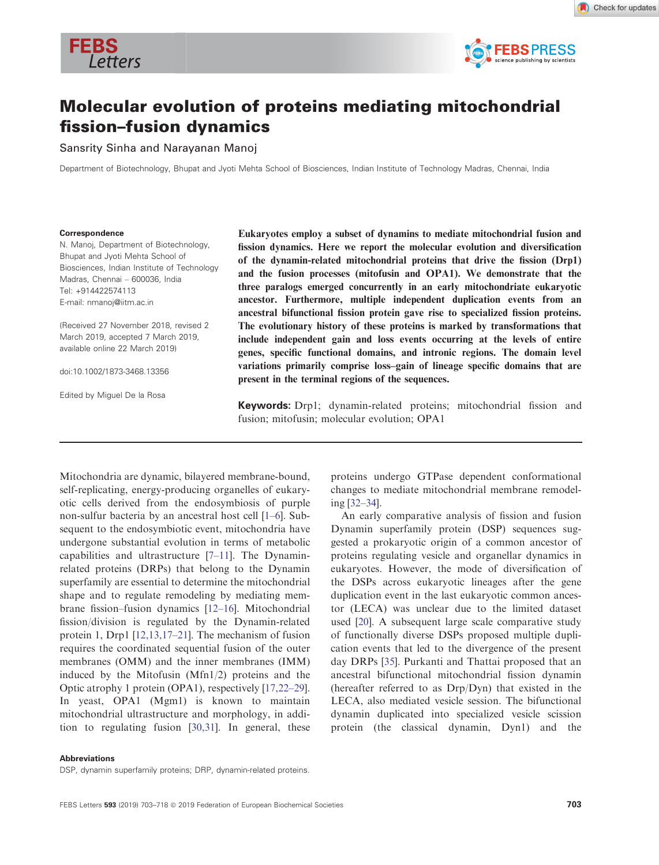



**SPRESS** 

# Molecular evolution of proteins mediating mitochondrial fission–fusion dynamics

Sansrity Sinha and Narayanan Manoj

Department of Biotechnology, Bhupat and Jyoti Mehta School of Biosciences, Indian Institute of Technology Madras, Chennai, India

#### Correspondence

N. Manoj, Department of Biotechnology, Bhupat and Jyoti Mehta School of Biosciences, Indian Institute of Technology Madras, Chennai – 600036, India Tel: +914422574113 E-mail: nmanoj@iitm.ac.in

(Received 27 November 2018, revised 2 March 2019, accepted 7 March 2019, available online 22 March 2019)

doi:10.1002/1873-3468.13356

Edited by Miguel De la Rosa

Eukaryotes employ a subset of dynamins to mediate mitochondrial fusion and fission dynamics. Here we report the molecular evolution and diversification of the dynamin-related mitochondrial proteins that drive the fission (Drp1) and the fusion processes (mitofusin and OPA1). We demonstrate that the three paralogs emerged concurrently in an early mitochondriate eukaryotic ancestor. Furthermore, multiple independent duplication events from an ancestral bifunctional fission protein gave rise to specialized fission proteins. The evolutionary history of these proteins is marked by transformations that include independent gain and loss events occurring at the levels of entire genes, specific functional domains, and intronic regions. The domain level variations primarily comprise loss–gain of lineage specific domains that are present in the terminal regions of the sequences.

Keywords: Drp1; dynamin-related proteins; mitochondrial fission and fusion; mitofusin; molecular evolution; OPA1

Mitochondria are dynamic, bilayered membrane-bound, self-replicating, energy-producing organelles of eukaryotic cells derived from the endosymbiosis of purple non-sulfur bacteria by an ancestral host cell [1–6]. Subsequent to the endosymbiotic event, mitochondria have undergone substantial evolution in terms of metabolic capabilities and ultrastructure [7–11]. The Dynaminrelated proteins (DRPs) that belong to the Dynamin superfamily are essential to determine the mitochondrial shape and to regulate remodeling by mediating membrane fission–fusion dynamics [12–16]. Mitochondrial fission/division is regulated by the Dynamin-related protein 1, Drp1 [12,13,17–21]. The mechanism of fusion requires the coordinated sequential fusion of the outer membranes (OMM) and the inner membranes (IMM) induced by the Mitofusin (Mfn1/2) proteins and the Optic atrophy 1 protein (OPA1), respectively [17,22–29]. In yeast, OPA1 (Mgm1) is known to maintain mitochondrial ultrastructure and morphology, in addition to regulating fusion [30,31]. In general, these

proteins undergo GTPase dependent conformational changes to mediate mitochondrial membrane remodeling [32–34].

An early comparative analysis of fission and fusion Dynamin superfamily protein (DSP) sequences suggested a prokaryotic origin of a common ancestor of proteins regulating vesicle and organellar dynamics in eukaryotes. However, the mode of diversification of the DSPs across eukaryotic lineages after the gene duplication event in the last eukaryotic common ancestor (LECA) was unclear due to the limited dataset used [20]. A subsequent large scale comparative study of functionally diverse DSPs proposed multiple duplication events that led to the divergence of the present day DRPs [35]. Purkanti and Thattai proposed that an ancestral bifunctional mitochondrial fission dynamin (hereafter referred to as Drp/Dyn) that existed in the LECA, also mediated vesicle session. The bifunctional dynamin duplicated into specialized vesicle scission protein (the classical dynamin, Dyn1) and the

#### Abbreviations

DSP, dynamin superfamily proteins; DRP, dynamin-related proteins.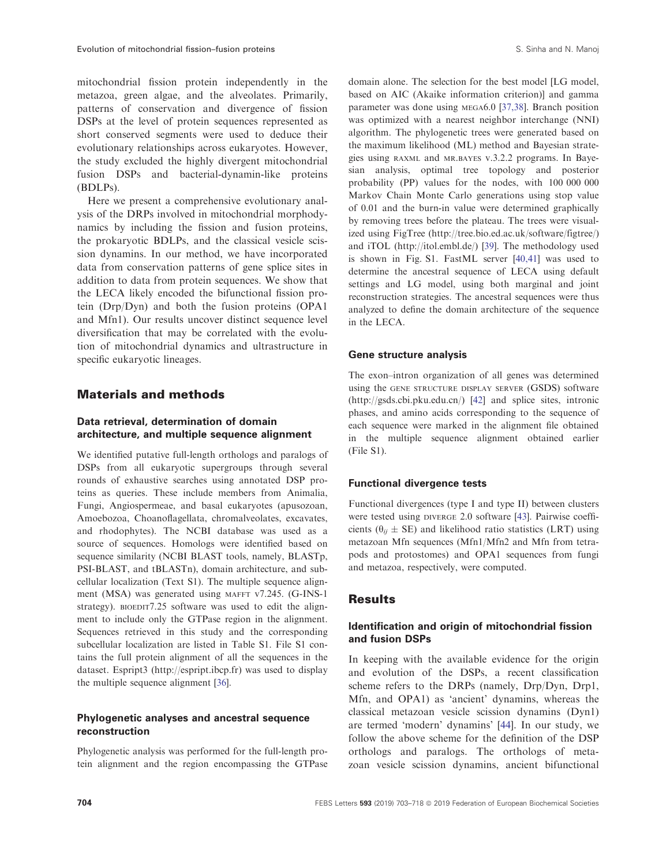mitochondrial fission protein independently in the metazoa, green algae, and the alveolates. Primarily, patterns of conservation and divergence of fission DSPs at the level of protein sequences represented as short conserved segments were used to deduce their evolutionary relationships across eukaryotes. However, the study excluded the highly divergent mitochondrial fusion DSPs and bacterial-dynamin-like proteins (BDLPs).

Here we present a comprehensive evolutionary analysis of the DRPs involved in mitochondrial morphodynamics by including the fission and fusion proteins, the prokaryotic BDLPs, and the classical vesicle scission dynamins. In our method, we have incorporated data from conservation patterns of gene splice sites in addition to data from protein sequences. We show that the LECA likely encoded the bifunctional fission protein (Drp/Dyn) and both the fusion proteins (OPA1 and Mfn1). Our results uncover distinct sequence level diversification that may be correlated with the evolution of mitochondrial dynamics and ultrastructure in specific eukaryotic lineages.

# Materials and methods

#### Data retrieval, determination of domain architecture, and multiple sequence alignment

We identified putative full-length orthologs and paralogs of DSPs from all eukaryotic supergroups through several rounds of exhaustive searches using annotated DSP proteins as queries. These include members from Animalia, Fungi, Angiospermeae, and basal eukaryotes (apusozoan, Amoebozoa, Choanoflagellata, chromalveolates, excavates, and rhodophytes). The NCBI database was used as a source of sequences. Homologs were identified based on sequence similarity (NCBI BLAST tools, namely, BLASTp, PSI-BLAST, and tBLASTn), domain architecture, and subcellular localization (Text S1). The multiple sequence alignment (MSA) was generated using MAFFT v7.245. (G-INS-1 strategy). BIOEDIT7.25 software was used to edit the alignment to include only the GTPase region in the alignment. Sequences retrieved in this study and the corresponding subcellular localization are listed in Table S1. File S1 contains the full protein alignment of all the sequences in the dataset. Espript3 (http://espript.ibcp.fr) was used to display the multiple sequence alignment [36].

## Phylogenetic analyses and ancestral sequence reconstruction

Phylogenetic analysis was performed for the full-length protein alignment and the region encompassing the GTPase domain alone. The selection for the best model [LG model, based on AIC (Akaike information criterion)] and gamma parameter was done using MEGA6.0 [37,38]. Branch position was optimized with a nearest neighbor interchange (NNI) algorithm. The phylogenetic trees were generated based on the maximum likelihood (ML) method and Bayesian strategies using RAXML and MR.BAYES v.3.2.2 programs. In Bayesian analysis, optimal tree topology and posterior probability (PP) values for the nodes, with 100 000 000 Markov Chain Monte Carlo generations using stop value of 0.01 and the burn-in value were determined graphically by removing trees before the plateau. The trees were visualized using FigTree (http://tree.bio.ed.ac.uk/software/figtree/) and iTOL (http://itol.embl.de/) [39]. The methodology used is shown in Fig. S1. FastML server [40,41] was used to determine the ancestral sequence of LECA using default settings and LG model, using both marginal and joint reconstruction strategies. The ancestral sequences were thus analyzed to define the domain architecture of the sequence in the LECA.

#### Gene structure analysis

The exon–intron organization of all genes was determined using the GENE STRUCTURE DISPLAY SERVER (GSDS) software (http://gsds.cbi.pku.edu.cn/) [42] and splice sites, intronic phases, and amino acids corresponding to the sequence of each sequence were marked in the alignment file obtained in the multiple sequence alignment obtained earlier (File S1).

#### Functional divergence tests

Functional divergences (type I and type II) between clusters were tested using DIVERGE 2.0 software [43]. Pairwise coefficients ( $\theta_{ii} \pm \text{SE}$ ) and likelihood ratio statistics (LRT) using metazoan Mfn sequences (Mfn1/Mfn2 and Mfn from tetrapods and protostomes) and OPA1 sequences from fungi and metazoa, respectively, were computed.

# **Results**

### Identification and origin of mitochondrial fission and fusion DSPs

In keeping with the available evidence for the origin and evolution of the DSPs, a recent classification scheme refers to the DRPs (namely, Drp/Dyn, Drp1, Mfn, and OPA1) as 'ancient' dynamins, whereas the classical metazoan vesicle scission dynamins (Dyn1) are termed 'modern' dynamins' [44]. In our study, we follow the above scheme for the definition of the DSP orthologs and paralogs. The orthologs of metazoan vesicle scission dynamins, ancient bifunctional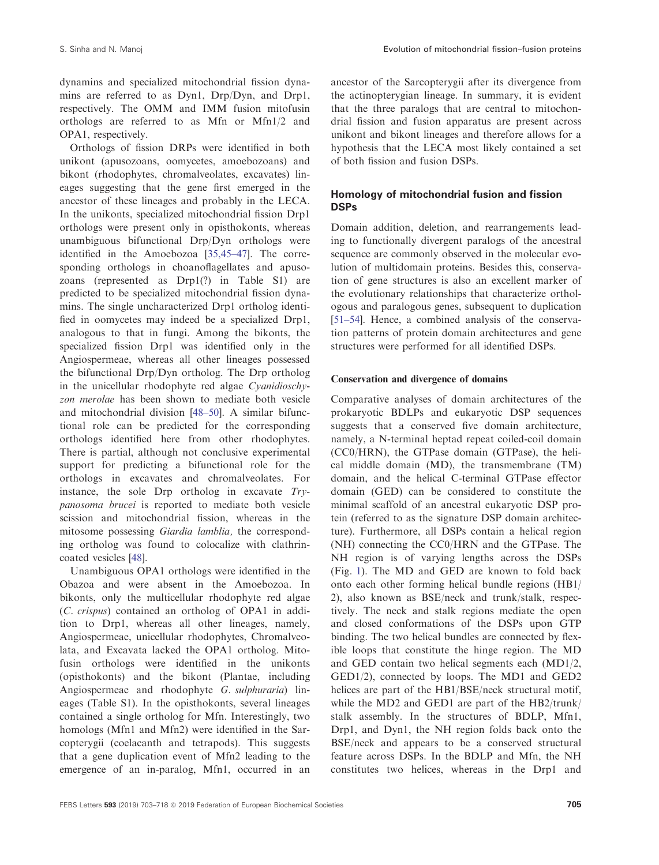dynamins and specialized mitochondrial fission dynamins are referred to as Dyn1, Drp/Dyn, and Drp1, respectively. The OMM and IMM fusion mitofusin orthologs are referred to as Mfn or Mfn1/2 and OPA1, respectively.

Orthologs of fission DRPs were identified in both unikont (apusozoans, oomycetes, amoebozoans) and bikont (rhodophytes, chromalveolates, excavates) lineages suggesting that the gene first emerged in the ancestor of these lineages and probably in the LECA. In the unikonts, specialized mitochondrial fission Drp1 orthologs were present only in opisthokonts, whereas unambiguous bifunctional Drp/Dyn orthologs were identified in the Amoebozoa [35,45–47]. The corresponding orthologs in choanoflagellates and apusozoans (represented as Drp1(?) in Table S1) are predicted to be specialized mitochondrial fission dynamins. The single uncharacterized Drp1 ortholog identified in oomycetes may indeed be a specialized Drp1, analogous to that in fungi. Among the bikonts, the specialized fission Drp1 was identified only in the Angiospermeae, whereas all other lineages possessed the bifunctional Drp/Dyn ortholog. The Drp ortholog in the unicellular rhodophyte red algae Cyanidioschyzon merolae has been shown to mediate both vesicle and mitochondrial division [48–50]. A similar bifunctional role can be predicted for the corresponding orthologs identified here from other rhodophytes. There is partial, although not conclusive experimental support for predicting a bifunctional role for the orthologs in excavates and chromalveolates. For instance, the sole Drp ortholog in excavate Trypanosoma brucei is reported to mediate both vesicle scission and mitochondrial fission, whereas in the mitosome possessing Giardia lamblia, the corresponding ortholog was found to colocalize with clathrincoated vesicles [48].

Unambiguous OPA1 orthologs were identified in the Obazoa and were absent in the Amoebozoa. In bikonts, only the multicellular rhodophyte red algae (C. crispus) contained an ortholog of OPA1 in addition to Drp1, whereas all other lineages, namely, Angiospermeae, unicellular rhodophytes, Chromalveolata, and Excavata lacked the OPA1 ortholog. Mitofusin orthologs were identified in the unikonts (opisthokonts) and the bikont (Plantae, including Angiospermeae and rhodophyte G. sulphuraria) lineages (Table S1). In the opisthokonts, several lineages contained a single ortholog for Mfn. Interestingly, two homologs (Mfn1 and Mfn2) were identified in the Sarcopterygii (coelacanth and tetrapods). This suggests that a gene duplication event of Mfn2 leading to the emergence of an in-paralog, Mfn1, occurred in an ancestor of the Sarcopterygii after its divergence from the actinopterygian lineage. In summary, it is evident that the three paralogs that are central to mitochondrial fission and fusion apparatus are present across unikont and bikont lineages and therefore allows for a hypothesis that the LECA most likely contained a set of both fission and fusion DSPs.

# Homology of mitochondrial fusion and fission **DSPs**

Domain addition, deletion, and rearrangements leading to functionally divergent paralogs of the ancestral sequence are commonly observed in the molecular evolution of multidomain proteins. Besides this, conservation of gene structures is also an excellent marker of the evolutionary relationships that characterize orthologous and paralogous genes, subsequent to duplication [51–54]. Hence, a combined analysis of the conservation patterns of protein domain architectures and gene structures were performed for all identified DSPs.

#### Conservation and divergence of domains

Comparative analyses of domain architectures of the prokaryotic BDLPs and eukaryotic DSP sequences suggests that a conserved five domain architecture, namely, a N-terminal heptad repeat coiled-coil domain (CC0/HRN), the GTPase domain (GTPase), the helical middle domain (MD), the transmembrane (TM) domain, and the helical C-terminal GTPase effector domain (GED) can be considered to constitute the minimal scaffold of an ancestral eukaryotic DSP protein (referred to as the signature DSP domain architecture). Furthermore, all DSPs contain a helical region (NH) connecting the CC0/HRN and the GTPase. The NH region is of varying lengths across the DSPs (Fig. 1). The MD and GED are known to fold back onto each other forming helical bundle regions (HB1/ 2), also known as BSE/neck and trunk/stalk, respectively. The neck and stalk regions mediate the open and closed conformations of the DSPs upon GTP binding. The two helical bundles are connected by flexible loops that constitute the hinge region. The MD and GED contain two helical segments each (MD1/2, GED1/2), connected by loops. The MD1 and GED2 helices are part of the HB1/BSE/neck structural motif, while the MD2 and GED1 are part of the HB2/trunk/ stalk assembly. In the structures of BDLP, Mfn1, Drp1, and Dyn1, the NH region folds back onto the BSE/neck and appears to be a conserved structural feature across DSPs. In the BDLP and Mfn, the NH constitutes two helices, whereas in the Drp1 and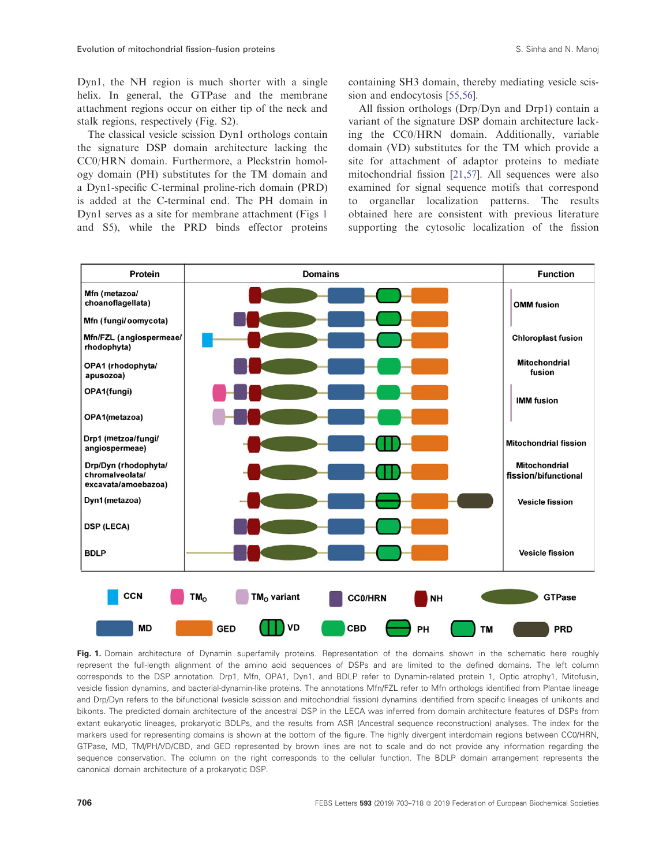Dyn1, the NH region is much shorter with a single helix. In general, the GTPase and the membrane attachment regions occur on either tip of the neck and stalk regions, respectively (Fig. S2).

The classical vesicle scission Dyn1 orthologs contain the signature DSP domain architecture lacking the CC0/HRN domain. Furthermore, a Pleckstrin homology domain (PH) substitutes for the TM domain and a Dyn1-specific C-terminal proline-rich domain (PRD) is added at the C-terminal end. The PH domain in Dyn1 serves as a site for membrane attachment (Figs 1 and S5), while the PRD binds effector proteins

containing SH3 domain, thereby mediating vesicle scission and endocytosis [55,56].

All fission orthologs (Drp/Dyn and Drp1) contain a variant of the signature DSP domain architecture lacking the CC0/HRN domain. Additionally, variable domain (VD) substitutes for the TM which provide a site for attachment of adaptor proteins to mediate mitochondrial fission [21,57]. All sequences were also examined for signal sequence motifs that correspond to organellar localization patterns. The results obtained here are consistent with previous literature supporting the cytosolic localization of the fission



Fig. 1. Domain architecture of Dynamin superfamily proteins. Representation of the domains shown in the schematic here roughly represent the full-length alignment of the amino acid sequences of DSPs and are limited to the defined domains. The left column corresponds to the DSP annotation. Drp1, Mfn, OPA1, Dyn1, and BDLP refer to Dynamin-related protein 1, Optic atrophy1, Mitofusin, vesicle fission dynamins, and bacterial-dynamin-like proteins. The annotations Mfn/FZL refer to Mfn orthologs identified from Plantae lineage and Drp/Dyn refers to the bifunctional (vesicle scission and mitochondrial fission) dynamins identified from specific lineages of unikonts and bikonts. The predicted domain architecture of the ancestral DSP in the LECA was inferred from domain architecture features of DSPs from extant eukaryotic lineages, prokaryotic BDLPs, and the results from ASR (Ancestral sequence reconstruction) analyses. The index for the markers used for representing domains is shown at the bottom of the figure. The highly divergent interdomain regions between CC0/HRN, GTPase, MD, TM/PH/VD/CBD, and GED represented by brown lines are not to scale and do not provide any information regarding the sequence conservation. The column on the right corresponds to the cellular function. The BDLP domain arrangement represents the canonical domain architecture of a prokaryotic DSP.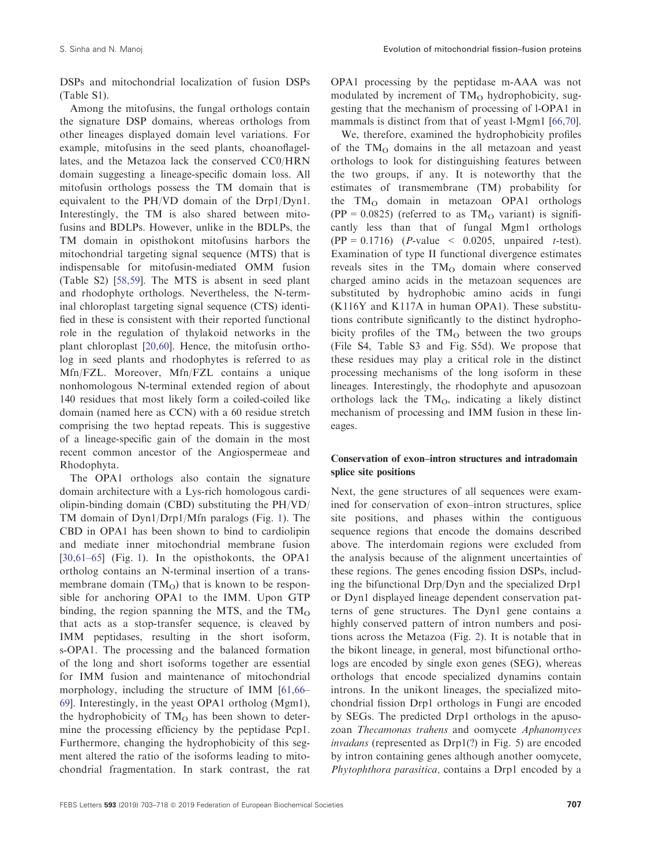DSPs and mitochondrial localization of fusion DSPs (Table S1).

Among the mitofusins, the fungal orthologs contain the signature DSP domains, whereas orthologs from other lineages displayed domain level variations. For example, mitofusins in the seed plants, choanoflagellates, and the Metazoa lack the conserved CC0/HRN domain suggesting a lineage-specific domain loss. All mitofusin orthologs possess the TM domain that is equivalent to the PH/VD domain of the Drp1/Dyn1. Interestingly, the TM is also shared between mitofusins and BDLPs. However, unlike in the BDLPs, the TM domain in opisthokont mitofusins harbors the mitochondrial targeting signal sequence (MTS) that is indispensable for mitofusin-mediated OMM fusion (Table S2) [58,59]. The MTS is absent in seed plant and rhodophyte orthologs. Nevertheless, the N-terminal chloroplast targeting signal sequence (CTS) identified in these is consistent with their reported functional role in the regulation of thylakoid networks in the plant chloroplast [20,60]. Hence, the mitofusin ortholog in seed plants and rhodophytes is referred to as Mfn/FZL. Moreover, Mfn/FZL contains a unique nonhomologous N-terminal extended region of about 140 residues that most likely form a coiled-coiled like domain (named here as CCN) with a 60 residue stretch comprising the two heptad repeats. This is suggestive of a lineage-specific gain of the domain in the most recent common ancestor of the Angiospermeae and Rhodophyta.

The OPA1 orthologs also contain the signature domain architecture with a Lys-rich homologous cardiolipin-binding domain (CBD) substituting the PH/VD/ TM domain of Dyn1/Drp1/Mfn paralogs (Fig. 1). The CBD in OPA1 has been shown to bind to cardiolipin and mediate inner mitochondrial membrane fusion [30,61–65] (Fig. 1). In the opisthokonts, the OPA1 ortholog contains an N-terminal insertion of a transmembrane domain  $(TM<sub>O</sub>)$  that is known to be responsible for anchoring OPA1 to the IMM. Upon GTP binding, the region spanning the MTS, and the  $TM<sub>O</sub>$ that acts as a stop-transfer sequence, is cleaved by IMM peptidases, resulting in the short isoform, s-OPA1. The processing and the balanced formation of the long and short isoforms together are essential for IMM fusion and maintenance of mitochondrial morphology, including the structure of IMM [61,66– 69]. Interestingly, in the yeast OPA1 ortholog (Mgm1), the hydrophobicity of  $TM<sub>O</sub>$  has been shown to determine the processing efficiency by the peptidase Pcp1. Furthermore, changing the hydrophobicity of this segment altered the ratio of the isoforms leading to mitochondrial fragmentation. In stark contrast, the rat OPA1 processing by the peptidase m-AAA was not modulated by increment of  $TM<sub>O</sub>$  hydrophobicity, suggesting that the mechanism of processing of l-OPA1 in mammals is distinct from that of yeast l-Mgm1 [66,70].

We, therefore, examined the hydrophobicity profiles of the  $TM<sub>O</sub>$  domains in the all metazoan and yeast orthologs to look for distinguishing features between the two groups, if any. It is noteworthy that the estimates of transmembrane (TM) probability for the  $TM<sub>O</sub>$  domain in metazoan OPA1 orthologs (PP =  $0.0825$ ) (referred to as TM<sub>O</sub> variant) is significantly less than that of fungal Mgm1 orthologs  $(PP = 0.1716)$  (*P*-value < 0.0205, unpaired *t*-test). Examination of type II functional divergence estimates reveals sites in the  $TM<sub>O</sub>$  domain where conserved charged amino acids in the metazoan sequences are substituted by hydrophobic amino acids in fungi (K116Y and K117A in human OPA1). These substitutions contribute significantly to the distinct hydrophobicity profiles of the  $TM<sub>O</sub>$  between the two groups (File S4, Table S3 and Fig. S5d). We propose that these residues may play a critical role in the distinct processing mechanisms of the long isoform in these lineages. Interestingly, the rhodophyte and apusozoan orthologs lack the  $TM<sub>O</sub>$ , indicating a likely distinct mechanism of processing and IMM fusion in these lineages.

#### Conservation of exon–intron structures and intradomain splice site positions

Next, the gene structures of all sequences were examined for conservation of exon–intron structures, splice site positions, and phases within the contiguous sequence regions that encode the domains described above. The interdomain regions were excluded from the analysis because of the alignment uncertainties of these regions. The genes encoding fission DSPs, including the bifunctional Drp/Dyn and the specialized Drp1 or Dyn1 displayed lineage dependent conservation patterns of gene structures. The Dyn1 gene contains a highly conserved pattern of intron numbers and positions across the Metazoa (Fig. 2). It is notable that in the bikont lineage, in general, most bifunctional orthologs are encoded by single exon genes (SEG), whereas orthologs that encode specialized dynamins contain introns. In the unikont lineages, the specialized mitochondrial fission Drp1 orthologs in Fungi are encoded by SEGs. The predicted Drp1 orthologs in the apusozoan Thecamonas trahens and oomycete Aphanomyces invadans (represented as Drp1(?) in Fig. 5) are encoded by intron containing genes although another oomycete, Phytophthora parasitica, contains a Drp1 encoded by a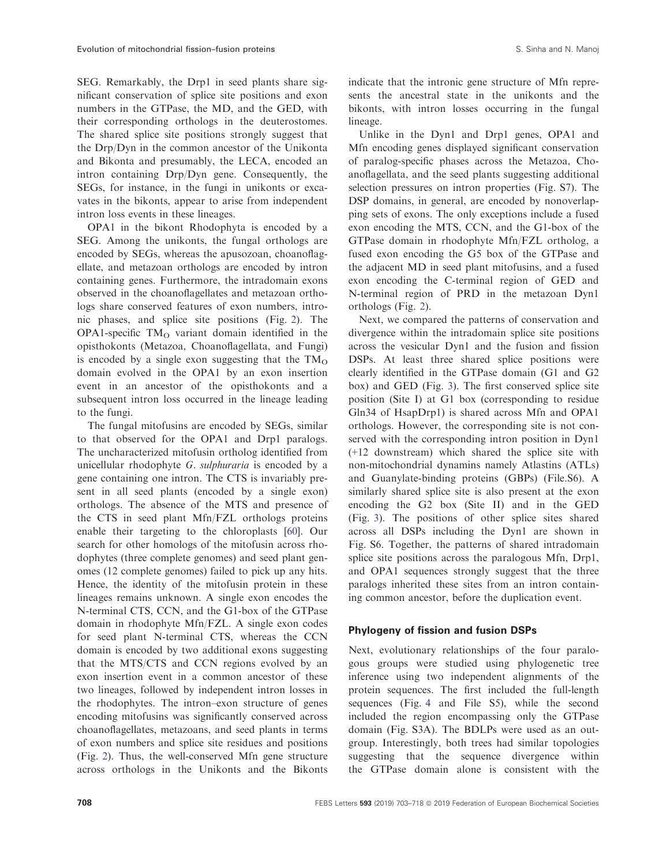SEG. Remarkably, the Drp1 in seed plants share significant conservation of splice site positions and exon numbers in the GTPase, the MD, and the GED, with their corresponding orthologs in the deuterostomes. The shared splice site positions strongly suggest that the Drp/Dyn in the common ancestor of the Unikonta and Bikonta and presumably, the LECA, encoded an intron containing Drp/Dyn gene. Consequently, the SEGs, for instance, in the fungi in unikonts or excavates in the bikonts, appear to arise from independent intron loss events in these lineages.

OPA1 in the bikont Rhodophyta is encoded by a SEG. Among the unikonts, the fungal orthologs are encoded by SEGs, whereas the apusozoan, choanoflagellate, and metazoan orthologs are encoded by intron containing genes. Furthermore, the intradomain exons observed in the choanoflagellates and metazoan orthologs share conserved features of exon numbers, intronic phases, and splice site positions (Fig. 2). The OPA1-specific  $TM<sub>O</sub>$  variant domain identified in the opisthokonts (Metazoa, Choanoflagellata, and Fungi) is encoded by a single exon suggesting that the  $TM<sub>O</sub>$ domain evolved in the OPA1 by an exon insertion event in an ancestor of the opisthokonts and a subsequent intron loss occurred in the lineage leading to the fungi.

The fungal mitofusins are encoded by SEGs, similar to that observed for the OPA1 and Drp1 paralogs. The uncharacterized mitofusin ortholog identified from unicellular rhodophyte G. sulphuraria is encoded by a gene containing one intron. The CTS is invariably present in all seed plants (encoded by a single exon) orthologs. The absence of the MTS and presence of the CTS in seed plant Mfn/FZL orthologs proteins enable their targeting to the chloroplasts [60]. Our search for other homologs of the mitofusin across rhodophytes (three complete genomes) and seed plant genomes (12 complete genomes) failed to pick up any hits. Hence, the identity of the mitofusin protein in these lineages remains unknown. A single exon encodes the N-terminal CTS, CCN, and the G1-box of the GTPase domain in rhodophyte Mfn/FZL. A single exon codes for seed plant N-terminal CTS, whereas the CCN domain is encoded by two additional exons suggesting that the MTS/CTS and CCN regions evolved by an exon insertion event in a common ancestor of these two lineages, followed by independent intron losses in the rhodophytes. The intron–exon structure of genes encoding mitofusins was significantly conserved across choanoflagellates, metazoans, and seed plants in terms of exon numbers and splice site residues and positions (Fig. 2). Thus, the well-conserved Mfn gene structure across orthologs in the Unikonts and the Bikonts

indicate that the intronic gene structure of Mfn represents the ancestral state in the unikonts and the bikonts, with intron losses occurring in the fungal lineage.

Unlike in the Dyn1 and Drp1 genes, OPA1 and Mfn encoding genes displayed significant conservation of paralog-specific phases across the Metazoa, Choanoflagellata, and the seed plants suggesting additional selection pressures on intron properties (Fig. S7). The DSP domains, in general, are encoded by nonoverlapping sets of exons. The only exceptions include a fused exon encoding the MTS, CCN, and the G1-box of the GTPase domain in rhodophyte Mfn/FZL ortholog, a fused exon encoding the G5 box of the GTPase and the adjacent MD in seed plant mitofusins, and a fused exon encoding the C-terminal region of GED and N-terminal region of PRD in the metazoan Dyn1 orthologs (Fig. 2).

Next, we compared the patterns of conservation and divergence within the intradomain splice site positions across the vesicular Dyn1 and the fusion and fission DSPs. At least three shared splice positions were clearly identified in the GTPase domain (G1 and G2 box) and GED (Fig. 3). The first conserved splice site position (Site I) at G1 box (corresponding to residue Gln34 of HsapDrp1) is shared across Mfn and OPA1 orthologs. However, the corresponding site is not conserved with the corresponding intron position in Dyn1 (+12 downstream) which shared the splice site with non-mitochondrial dynamins namely Atlastins (ATLs) and Guanylate-binding proteins (GBPs) (File.S6). A similarly shared splice site is also present at the exon encoding the G2 box (Site II) and in the GED (Fig. 3). The positions of other splice sites shared across all DSPs including the Dyn1 are shown in Fig. S6. Together, the patterns of shared intradomain splice site positions across the paralogous Mfn, Drp1, and OPA1 sequences strongly suggest that the three paralogs inherited these sites from an intron containing common ancestor, before the duplication event.

#### Phylogeny of fission and fusion DSPs

Next, evolutionary relationships of the four paralogous groups were studied using phylogenetic tree inference using two independent alignments of the protein sequences. The first included the full-length sequences (Fig. 4 and File S5), while the second included the region encompassing only the GTPase domain (Fig. S3A). The BDLPs were used as an outgroup. Interestingly, both trees had similar topologies suggesting that the sequence divergence within the GTPase domain alone is consistent with the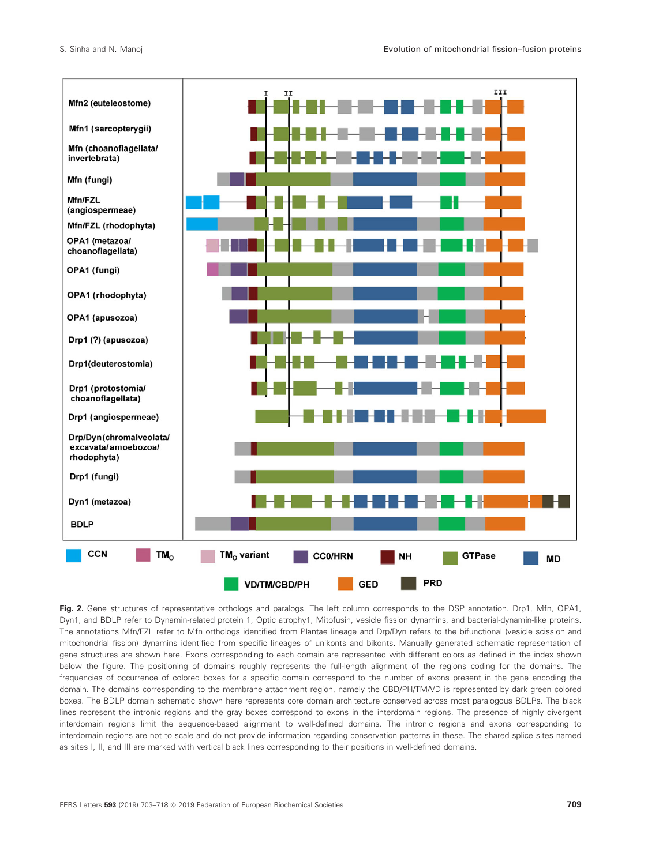

Fig. 2. Gene structures of representative orthologs and paralogs. The left column corresponds to the DSP annotation. Drp1, Mfn, OPA1, Dyn1, and BDLP refer to Dynamin-related protein 1, Optic atrophy1, Mitofusin, vesicle fission dynamins, and bacterial-dynamin-like proteins. The annotations Mfn/FZL refer to Mfn orthologs identified from Plantae lineage and Drp/Dyn refers to the bifunctional (vesicle scission and mitochondrial fission) dynamins identified from specific lineages of unikonts and bikonts. Manually generated schematic representation of gene structures are shown here. Exons corresponding to each domain are represented with different colors as defined in the index shown below the figure. The positioning of domains roughly represents the full-length alignment of the regions coding for the domains. The frequencies of occurrence of colored boxes for a specific domain correspond to the number of exons present in the gene encoding the domain. The domains corresponding to the membrane attachment region, namely the CBD/PH/TM/VD is represented by dark green colored boxes. The BDLP domain schematic shown here represents core domain architecture conserved across most paralogous BDLPs. The black lines represent the intronic regions and the gray boxes correspond to exons in the interdomain regions. The presence of highly divergent interdomain regions limit the sequence-based alignment to well-defined domains. The intronic regions and exons corresponding to interdomain regions are not to scale and do not provide information regarding conservation patterns in these. The shared splice sites named as sites I, II, and III are marked with vertical black lines corresponding to their positions in well-defined domains.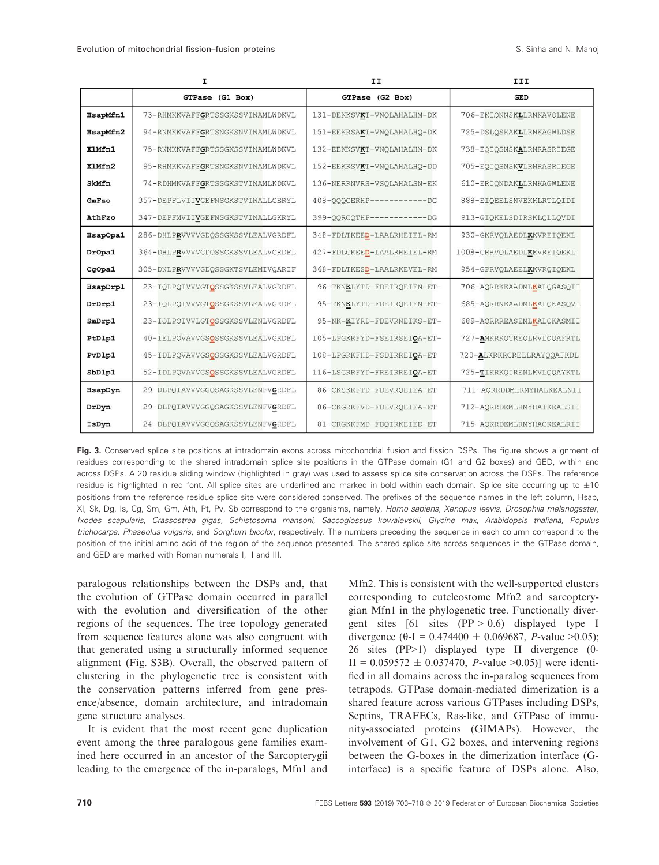|          | $\mathbf I$                       | II                          | III                       |
|----------|-----------------------------------|-----------------------------|---------------------------|
|          | GTPase (G1 Box)                   | GTPase (G2 Box)             | <b>GED</b>                |
| HsapMfn1 | 73-RHMKKVAFFGRTSSGKSSVINAMLWDKVL  | 131-DEKKSVKT-VNQLAHALHM-DK  | 706-EKIQNNSKLLRNKAVQLENE  |
| HsapMfn2 | 94-RNMKKVAFFGRTSNGKSNVINAMLWDKVL  | 151-EEKRSAKT-VNQLAHALHQ-DK  | 725-DSLQSKAKLLRNKAGWLDSE  |
| X1Mfn1   | 75-RNMKKVAFFGRTSSGKSSVINAMLWDKVL  | 132-EEKKSVKT-VNQLAHALHM-DK  | 738-EQIQSNSKALRNRASRIEGE  |
| X1Mfn2   | 95-RHMKKVAFFGRTSNGKSNVINAMLWDKVL  | 152-EEKRSVKT-VNQLAHALHQ-DD  | 705-EQIQSNSKVLRNRASRIEGE  |
| SkMfn    | 74-RDHMKVAFFGRTSSGKSTVINAMLKDKVL  | 136-NERRNVRS-VSQLAHALSN-EK  | 610-ERIQNDAKLLRNKAGWLENE  |
| GmFzo    | 357-DEPFLVIIVGEFNSGKSTVINALLGERYL | 408-000CERHP------------DG  | 888-EIQEELSNVEKKLRTLQIDI  |
| AthFzo   | 347-DEPFMVIIVGEFNSGKSTVINALLGKRYL | 399-QQRCQTHP------------DG  | 913-GIQKELSDIRSKLQLLQVDI  |
| HsapOpa1 | 286-DHLPRVVVVGDQSSGKSSVLEALVGRDFL | 348-FDLTKEED-LAALRHEIEL-RM  | 930-GKRVQLAEDLKKVREIQEKL  |
| DrOpa1   | 364-DHLPRVVVVGDQSSGKSSVLEALVGRDFL | 427-FDLGKEED-LAALRHEIEL-RM  | 1008-GRRVQLAEDLKKVREIQEKL |
| CgOpa1   | 305-DNLPRVVVVGDQSSGKTSVLEMIVQARIF | 368-FDLTKESD-LAALRKEVEL-RM  | 954-GPRVQLAEELKKVRQIQEKL  |
| HsapDrp1 | 23-IQLPQIVVVGTQSSGKSSVLEALVGRDFL  | 96-TKNKLYTD-FDEIRQEIEN-ET-  | 706-AQRRKEAADMLKALQGASQII |
| DrDrp1   | 23-IQLPQIVVVGTQSSGKSSVLEALVGRDFL  | 95-TKNKLYTD-FDEIRQEIEN-ET-  | 685-AQRRNEAADMLKALQKASQVI |
| SmDrp1   | 23-IQLPQIVVLGTQSSGKSSVLENLVGRDFL  | 95-NK-KIYRD-FDEVRNEIKS-ET-  | 689-AQRRREASEMLKALQKASMII |
| PtD1p1   | 40-IELPQVAVVGSQSSGKSSVLEALVGRDFL  | 105-LPGKRFYD-FSEIRSEIQA-ET- | 727-AMKRKQTREQLRVLQQAFRTL |
| PvD1p1   | 45-IDLPQVAVVGSQSSGKSSVLEALVGRDFL  | 108-LPGRKFHD-FSDIRREIQA-ET  | 720-ALKRKRCRELLRAYQQAFKDL |
| SbD1p1   | 52-IDLPQVAVVGSQSSGKSSVLEALVGRDFL  | 116-LSGRRFYD-FREIRREIQA-ET  | 725-TIKRKQIRENLKVLQQAYKTL |
| HsapDyn  | 29-DLPQIAVVVGGQSAGKSSVLENFVGRDFL  | 86-CKSKKFTD-FDEVRQEIEA-ET   | 711-AQRRDDMLRMYHALKEALNII |
| DrDyn    | 29-DLPQIAVVVGGQSAGKSSVLENFVGRDFL  | 86-CKGRKFVD-FDEVRQEIEA-ET   | 712-AQRRDEMLRMYHAIKEALSII |
| IsDyn    | 24-DLPQIAVVVGGQSAGKSSVLENFVGRDFL  | 81-CRGKKFMD-FDQIRKEIED-ET   | 715-AQKRDEMLRMYHACKEALRII |

Fig. 3. Conserved splice site positions at intradomain exons across mitochondrial fusion and fission DSPs. The figure shows alignment of residues corresponding to the shared intradomain splice site positions in the GTPase domain (G1 and G2 boxes) and GED, within and across DSPs. A 20 residue sliding window (highlighted in gray) was used to assess splice site conservation across the DSPs. The reference residue is highlighted in red font. All splice sites are underlined and marked in bold within each domain. Splice site occurring up to  $\pm 10$ positions from the reference residue splice site were considered conserved. The prefixes of the sequence names in the left column, Hsap, XI, Sk, Dg, Is, Cg, Sm, Gm, Ath, Pt, Pv, Sb correspond to the organisms, namely, Homo sapiens, Xenopus leavis, Drosophila melanogaster, Ixodes scapularis, Crassostrea gigas, Schistosoma mansoni, Saccoglossus kowalevskii, Glycine max, Arabidopsis thaliana, Populus trichocarpa, Phaseolus vulgaris, and Sorghum bicolor, respectively. The numbers preceding the sequence in each column correspond to the position of the initial amino acid of the region of the sequence presented. The shared splice site across sequences in the GTPase domain, and GED are marked with Roman numerals I, II and III.

paralogous relationships between the DSPs and, that the evolution of GTPase domain occurred in parallel with the evolution and diversification of the other regions of the sequences. The tree topology generated from sequence features alone was also congruent with that generated using a structurally informed sequence alignment (Fig. S3B). Overall, the observed pattern of clustering in the phylogenetic tree is consistent with the conservation patterns inferred from gene presence/absence, domain architecture, and intradomain gene structure analyses.

It is evident that the most recent gene duplication event among the three paralogous gene families examined here occurred in an ancestor of the Sarcopterygii leading to the emergence of the in-paralogs, Mfn1 and

Mfn2. This is consistent with the well-supported clusters corresponding to euteleostome Mfn2 and sarcopterygian Mfn1 in the phylogenetic tree. Functionally divergent sites  $[61 \text{ sites} (PP > 0.6)$  displayed type I divergence  $(\theta$ -I = 0.474400  $\pm$  0.069687, *P*-value >0.05); 26 sites (PP>1) displayed type II divergence  $(\theta II = 0.059572 \pm 0.037470$ , *P*-value >0.05)] were identified in all domains across the in-paralog sequences from tetrapods. GTPase domain-mediated dimerization is a shared feature across various GTPases including DSPs, Septins, TRAFECs, Ras-like, and GTPase of immunity-associated proteins (GIMAPs). However, the involvement of G1, G2 boxes, and intervening regions between the G-boxes in the dimerization interface (Ginterface) is a specific feature of DSPs alone. Also,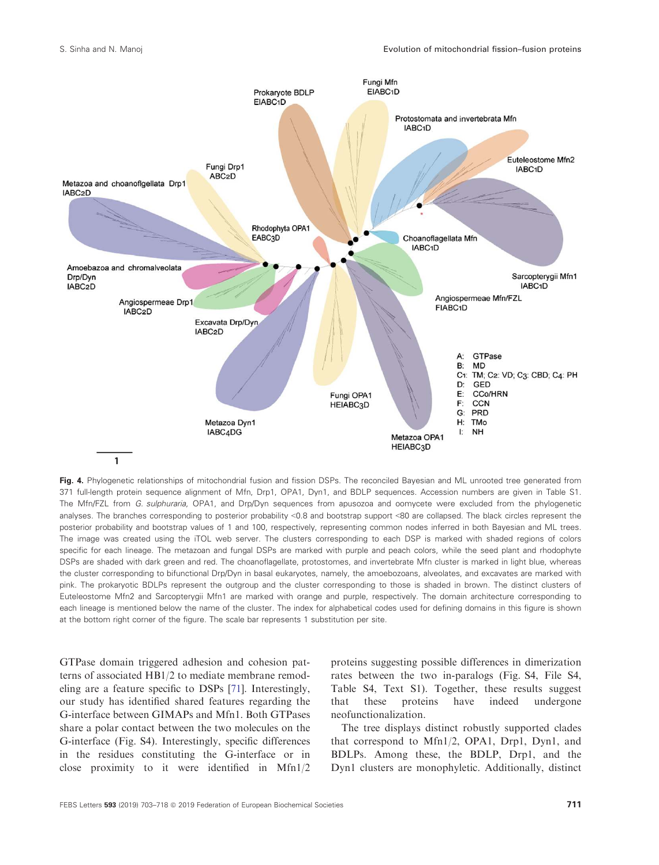

Fig. 4. Phylogenetic relationships of mitochondrial fusion and fission DSPs. The reconciled Bayesian and ML unrooted tree generated from 371 full-length protein sequence alignment of Mfn, Drp1, OPA1, Dyn1, and BDLP sequences. Accession numbers are given in Table S1. The Mfn/FZL from G. sulphuraria, OPA1, and Drp/Dyn sequences from apusozoa and oomycete were excluded from the phylogenetic analyses. The branches corresponding to posterior probability <0.8 and bootstrap support <80 are collapsed. The black circles represent the posterior probability and bootstrap values of 1 and 100, respectively, representing common nodes inferred in both Bayesian and ML trees. The image was created using the iTOL web server. The clusters corresponding to each DSP is marked with shaded regions of colors specific for each lineage. The metazoan and fungal DSPs are marked with purple and peach colors, while the seed plant and rhodophyte DSPs are shaded with dark green and red. The choanoflagellate, protostomes, and invertebrate Mfn cluster is marked in light blue, whereas the cluster corresponding to bifunctional Drp/Dyn in basal eukaryotes, namely, the amoebozoans, alveolates, and excavates are marked with pink. The prokaryotic BDLPs represent the outgroup and the cluster corresponding to those is shaded in brown. The distinct clusters of Euteleostome Mfn2 and Sarcopterygii Mfn1 are marked with orange and purple, respectively. The domain architecture corresponding to each lineage is mentioned below the name of the cluster. The index for alphabetical codes used for defining domains in this figure is shown at the bottom right corner of the figure. The scale bar represents 1 substitution per site.

GTPase domain triggered adhesion and cohesion patterns of associated HB1/2 to mediate membrane remodeling are a feature specific to DSPs [71]. Interestingly, our study has identified shared features regarding the G-interface between GIMAPs and Mfn1. Both GTPases share a polar contact between the two molecules on the G-interface (Fig. S4). Interestingly, specific differences in the residues constituting the G-interface or in close proximity to it were identified in Mfn1/2

proteins suggesting possible differences in dimerization rates between the two in-paralogs (Fig. S4, File S4, Table S4, Text S1). Together, these results suggest that these proteins have indeed undergone neofunctionalization.

The tree displays distinct robustly supported clades that correspond to Mfn1/2, OPA1, Drp1, Dyn1, and BDLPs. Among these, the BDLP, Drp1, and the Dyn1 clusters are monophyletic. Additionally, distinct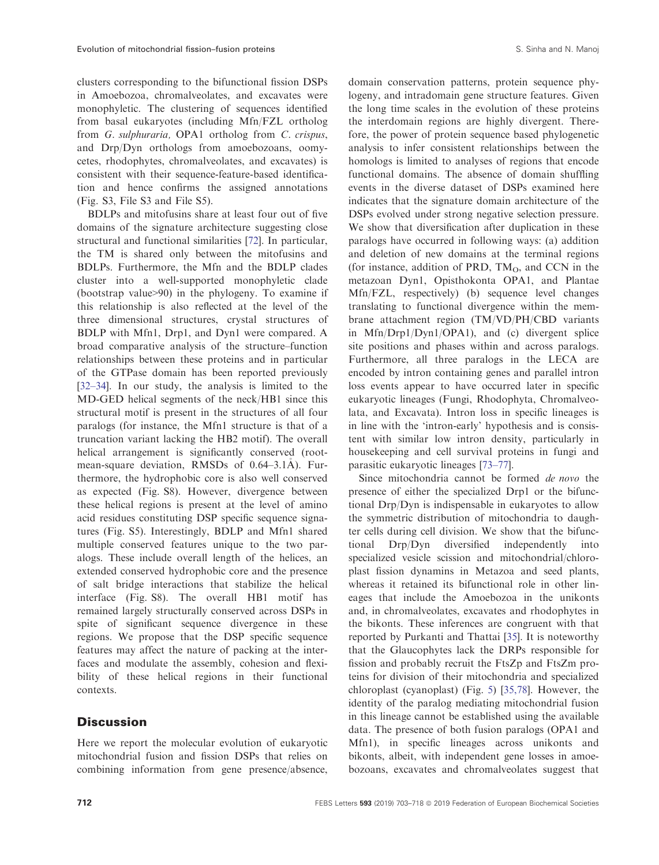clusters corresponding to the bifunctional fission DSPs in Amoebozoa, chromalveolates, and excavates were monophyletic. The clustering of sequences identified from basal eukaryotes (including Mfn/FZL ortholog from G. sulphuraria, OPA1 ortholog from C. crispus, and Drp/Dyn orthologs from amoebozoans, oomycetes, rhodophytes, chromalveolates, and excavates) is consistent with their sequence-feature-based identification and hence confirms the assigned annotations (Fig. S3, File S3 and File S5).

BDLPs and mitofusins share at least four out of five domains of the signature architecture suggesting close structural and functional similarities [72]. In particular, the TM is shared only between the mitofusins and BDLPs. Furthermore, the Mfn and the BDLP clades cluster into a well-supported monophyletic clade (bootstrap value>90) in the phylogeny. To examine if this relationship is also reflected at the level of the three dimensional structures, crystal structures of BDLP with Mfn1, Drp1, and Dyn1 were compared. A broad comparative analysis of the structure–function relationships between these proteins and in particular of the GTPase domain has been reported previously [32–34]. In our study, the analysis is limited to the MD-GED helical segments of the neck/HB1 since this structural motif is present in the structures of all four paralogs (for instance, the Mfn1 structure is that of a truncation variant lacking the HB2 motif). The overall helical arrangement is significantly conserved (rootmean-square deviation, RMSDs of 0.64–3.1A). Furthermore, the hydrophobic core is also well conserved as expected (Fig. S8). However, divergence between these helical regions is present at the level of amino acid residues constituting DSP specific sequence signatures (Fig. S5). Interestingly, BDLP and Mfn1 shared multiple conserved features unique to the two paralogs. These include overall length of the helices, an extended conserved hydrophobic core and the presence of salt bridge interactions that stabilize the helical interface (Fig. S8). The overall HB1 motif has remained largely structurally conserved across DSPs in spite of significant sequence divergence in these regions. We propose that the DSP specific sequence features may affect the nature of packing at the interfaces and modulate the assembly, cohesion and flexibility of these helical regions in their functional contexts.

### **Discussion**

Here we report the molecular evolution of eukaryotic mitochondrial fusion and fission DSPs that relies on combining information from gene presence/absence,

domain conservation patterns, protein sequence phylogeny, and intradomain gene structure features. Given the long time scales in the evolution of these proteins the interdomain regions are highly divergent. Therefore, the power of protein sequence based phylogenetic analysis to infer consistent relationships between the homologs is limited to analyses of regions that encode functional domains. The absence of domain shuffling events in the diverse dataset of DSPs examined here indicates that the signature domain architecture of the DSPs evolved under strong negative selection pressure. We show that diversification after duplication in these paralogs have occurred in following ways: (a) addition and deletion of new domains at the terminal regions (for instance, addition of PRD,  $TM<sub>O</sub>$ , and CCN in the metazoan Dyn1, Opisthokonta OPA1, and Plantae Mfn/FZL, respectively) (b) sequence level changes translating to functional divergence within the membrane attachment region (TM/VD/PH/CBD variants in Mfn/Drp1/Dyn1/OPA1), and (c) divergent splice site positions and phases within and across paralogs. Furthermore, all three paralogs in the LECA are encoded by intron containing genes and parallel intron loss events appear to have occurred later in specific eukaryotic lineages (Fungi, Rhodophyta, Chromalveolata, and Excavata). Intron loss in specific lineages is in line with the 'intron-early' hypothesis and is consistent with similar low intron density, particularly in housekeeping and cell survival proteins in fungi and parasitic eukaryotic lineages [73–77].

Since mitochondria cannot be formed de novo the presence of either the specialized Drp1 or the bifunctional Drp/Dyn is indispensable in eukaryotes to allow the symmetric distribution of mitochondria to daughter cells during cell division. We show that the bifunctional Drp/Dyn diversified independently into specialized vesicle scission and mitochondrial/chloroplast fission dynamins in Metazoa and seed plants, whereas it retained its bifunctional role in other lineages that include the Amoebozoa in the unikonts and, in chromalveolates, excavates and rhodophytes in the bikonts. These inferences are congruent with that reported by Purkanti and Thattai [35]. It is noteworthy that the Glaucophytes lack the DRPs responsible for fission and probably recruit the FtsZp and FtsZm proteins for division of their mitochondria and specialized chloroplast (cyanoplast) (Fig. 5) [35,78]. However, the identity of the paralog mediating mitochondrial fusion in this lineage cannot be established using the available data. The presence of both fusion paralogs (OPA1 and Mfn1), in specific lineages across unikonts and bikonts, albeit, with independent gene losses in amoebozoans, excavates and chromalveolates suggest that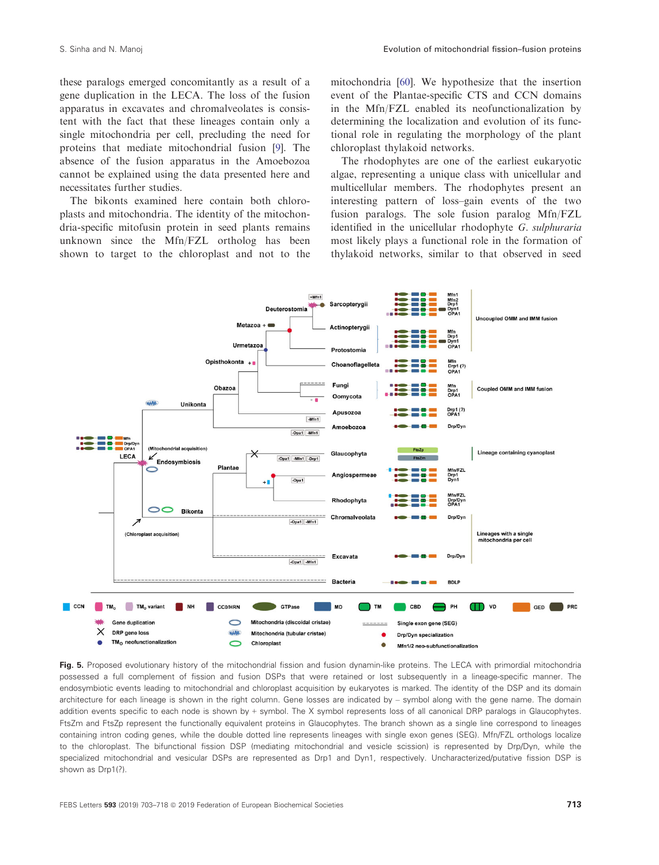these paralogs emerged concomitantly as a result of a gene duplication in the LECA. The loss of the fusion apparatus in excavates and chromalveolates is consistent with the fact that these lineages contain only a single mitochondria per cell, precluding the need for proteins that mediate mitochondrial fusion [9]. The absence of the fusion apparatus in the Amoebozoa cannot be explained using the data presented here and necessitates further studies.

The bikonts examined here contain both chloroplasts and mitochondria. The identity of the mitochondria-specific mitofusin protein in seed plants remains unknown since the Mfn/FZL ortholog has been shown to target to the chloroplast and not to the mitochondria [60]. We hypothesize that the insertion event of the Plantae-specific CTS and CCN domains in the Mfn/FZL enabled its neofunctionalization by determining the localization and evolution of its functional role in regulating the morphology of the plant chloroplast thylakoid networks.

The rhodophytes are one of the earliest eukaryotic algae, representing a unique class with unicellular and multicellular members. The rhodophytes present an interesting pattern of loss–gain events of the two fusion paralogs. The sole fusion paralog Mfn/FZL identified in the unicellular rhodophyte G. sulphuraria most likely plays a functional role in the formation of thylakoid networks, similar to that observed in seed



Fig. 5. Proposed evolutionary history of the mitochondrial fission and fusion dynamin-like proteins. The LECA with primordial mitochondria possessed a full complement of fission and fusion DSPs that were retained or lost subsequently in a lineage-specific manner. The endosymbiotic events leading to mitochondrial and chloroplast acquisition by eukaryotes is marked. The identity of the DSP and its domain architecture for each lineage is shown in the right column. Gene losses are indicated by – symbol along with the gene name. The domain addition events specific to each node is shown by + symbol. The X symbol represents loss of all canonical DRP paralogs in Glaucophytes. FtsZm and FtsZp represent the functionally equivalent proteins in Glaucophytes. The branch shown as a single line correspond to lineages containing intron coding genes, while the double dotted line represents lineages with single exon genes (SEG). Mfn/FZL orthologs localize to the chloroplast. The bifunctional fission DSP (mediating mitochondrial and vesicle scission) is represented by Drp/Dyn, while the specialized mitochondrial and vesicular DSPs are represented as Drp1 and Dyn1, respectively. Uncharacterized/putative fission DSP is shown as Drp1(?).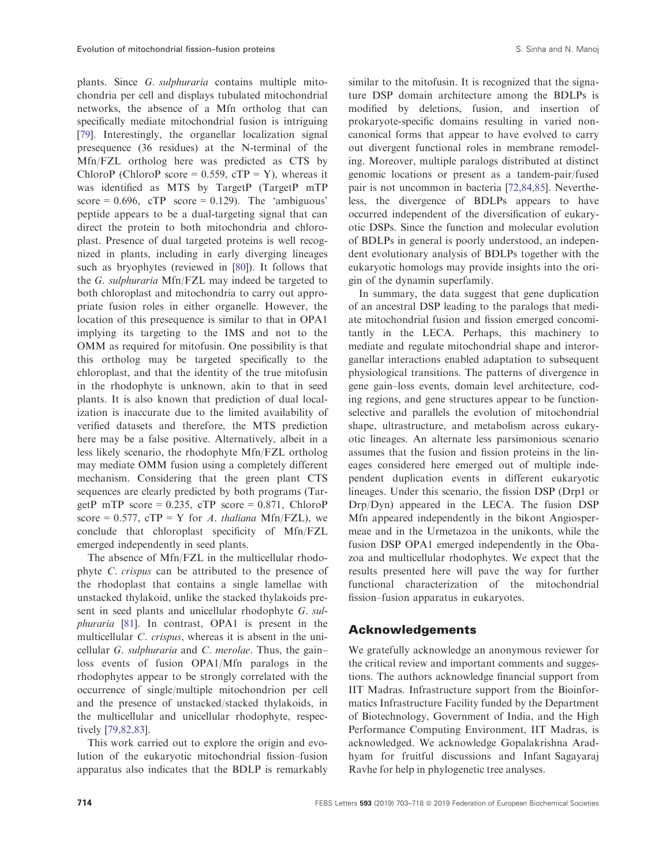plants. Since G. sulphuraria contains multiple mitochondria per cell and displays tubulated mitochondrial networks, the absence of a Mfn ortholog that can specifically mediate mitochondrial fusion is intriguing [79]. Interestingly, the organellar localization signal presequence (36 residues) at the N-terminal of the Mfn/FZL ortholog here was predicted as CTS by ChloroP (ChloroP score =  $0.559$ , cTP = Y), whereas it was identified as MTS by TargetP (TargetP mTP score =  $0.696$ , cTP score =  $0.129$ ). The 'ambiguous' peptide appears to be a dual-targeting signal that can direct the protein to both mitochondria and chloroplast. Presence of dual targeted proteins is well recognized in plants, including in early diverging lineages such as bryophytes (reviewed in [80]). It follows that the G. sulphuraria Mfn/FZL may indeed be targeted to both chloroplast and mitochondria to carry out appropriate fusion roles in either organelle. However, the location of this presequence is similar to that in OPA1 implying its targeting to the IMS and not to the OMM as required for mitofusin. One possibility is that this ortholog may be targeted specifically to the chloroplast, and that the identity of the true mitofusin in the rhodophyte is unknown, akin to that in seed plants. It is also known that prediction of dual localization is inaccurate due to the limited availability of verified datasets and therefore, the MTS prediction here may be a false positive. Alternatively, albeit in a less likely scenario, the rhodophyte Mfn/FZL ortholog may mediate OMM fusion using a completely different mechanism. Considering that the green plant CTS sequences are clearly predicted by both programs (TargetP mTP score =  $0.235$ , cTP score =  $0.871$ , ChloroP score = 0.577,  $cTP = Y$  for A. thaliana Mfn/FZL), we conclude that chloroplast specificity of Mfn/FZL emerged independently in seed plants.

The absence of Mfn/FZL in the multicellular rhodophyte C. crispus can be attributed to the presence of the rhodoplast that contains a single lamellae with unstacked thylakoid, unlike the stacked thylakoids present in seed plants and unicellular rhodophyte G. sulphuraria [81]. In contrast, OPA1 is present in the multicellular C. crispus, whereas it is absent in the unicellular G. sulphuraria and C. merolae. Thus, the gain– loss events of fusion OPA1/Mfn paralogs in the rhodophytes appear to be strongly correlated with the occurrence of single/multiple mitochondrion per cell and the presence of unstacked/stacked thylakoids, in the multicellular and unicellular rhodophyte, respectively [79,82,83].

This work carried out to explore the origin and evolution of the eukaryotic mitochondrial fission–fusion apparatus also indicates that the BDLP is remarkably

similar to the mitofusin. It is recognized that the signature DSP domain architecture among the BDLPs is modified by deletions, fusion, and insertion of prokaryote-specific domains resulting in varied noncanonical forms that appear to have evolved to carry out divergent functional roles in membrane remodeling. Moreover, multiple paralogs distributed at distinct genomic locations or present as a tandem-pair/fused pair is not uncommon in bacteria [72,84,85]. Nevertheless, the divergence of BDLPs appears to have occurred independent of the diversification of eukaryotic DSPs. Since the function and molecular evolution of BDLPs in general is poorly understood, an independent evolutionary analysis of BDLPs together with the eukaryotic homologs may provide insights into the origin of the dynamin superfamily.

In summary, the data suggest that gene duplication of an ancestral DSP leading to the paralogs that mediate mitochondrial fusion and fission emerged concomitantly in the LECA. Perhaps, this machinery to mediate and regulate mitochondrial shape and interorganellar interactions enabled adaptation to subsequent physiological transitions. The patterns of divergence in gene gain–loss events, domain level architecture, coding regions, and gene structures appear to be functionselective and parallels the evolution of mitochondrial shape, ultrastructure, and metabolism across eukaryotic lineages. An alternate less parsimonious scenario assumes that the fusion and fission proteins in the lineages considered here emerged out of multiple independent duplication events in different eukaryotic lineages. Under this scenario, the fission DSP (Drp1 or Drp/Dyn) appeared in the LECA. The fusion DSP Mfn appeared independently in the bikont Angiospermeae and in the Urmetazoa in the unikonts, while the fusion DSP OPA1 emerged independently in the Obazoa and multicellular rhodophytes. We expect that the results presented here will pave the way for further functional characterization of the mitochondrial fission–fusion apparatus in eukaryotes.

# Acknowledgements

We gratefully acknowledge an anonymous reviewer for the critical review and important comments and suggestions. The authors acknowledge financial support from IIT Madras. Infrastructure support from the Bioinformatics Infrastructure Facility funded by the Department of Biotechnology, Government of India, and the High Performance Computing Environment, IIT Madras, is acknowledged. We acknowledge Gopalakrishna Aradhyam for fruitful discussions and Infant Sagayaraj Ravhe for help in phylogenetic tree analyses.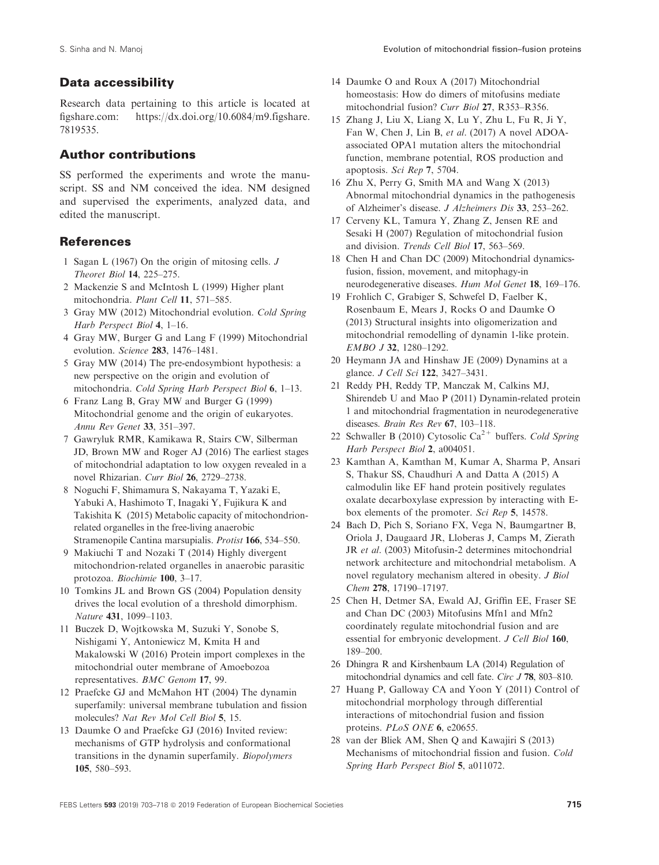# Data accessibility

Research data pertaining to this article is located at figshare.com: https://dx.doi.org/10.6084/m9.figshare. 7819535.

# Author contributions

SS performed the experiments and wrote the manuscript. SS and NM conceived the idea. NM designed and supervised the experiments, analyzed data, and edited the manuscript.

# References

- 1 Sagan L (1967) On the origin of mitosing cells. J Theoret Biol 14, 225–275.
- 2 Mackenzie S and McIntosh L (1999) Higher plant mitochondria. Plant Cell 11, 571–585.
- 3 Gray MW (2012) Mitochondrial evolution. Cold Spring Harb Perspect Biol 4, 1–16.
- 4 Gray MW, Burger G and Lang F (1999) Mitochondrial evolution. Science 283, 1476–1481.
- 5 Gray MW (2014) The pre-endosymbiont hypothesis: a new perspective on the origin and evolution of mitochondria. Cold Spring Harb Perspect Biol 6, 1–13.
- 6 Franz Lang B, Gray MW and Burger G (1999) Mitochondrial genome and the origin of eukaryotes. Annu Rev Genet 33, 351–397.
- 7 Gawryluk RMR, Kamikawa R, Stairs CW, Silberman JD, Brown MW and Roger AJ (2016) The earliest stages of mitochondrial adaptation to low oxygen revealed in a novel Rhizarian. Curr Biol 26, 2729–2738.
- 8 Noguchi F, Shimamura S, Nakayama T, Yazaki E, Yabuki A, Hashimoto T, Inagaki Y, Fujikura K and Takishita K (2015) Metabolic capacity of mitochondrionrelated organelles in the free-living anaerobic Stramenopile Cantina marsupialis. Protist 166, 534–550.
- 9 Makiuchi T and Nozaki T (2014) Highly divergent mitochondrion-related organelles in anaerobic parasitic protozoa. Biochimie 100, 3–17.
- 10 Tomkins JL and Brown GS (2004) Population density drives the local evolution of a threshold dimorphism. Nature 431, 1099–1103.
- 11 Buczek D, Wojtkowska M, Suzuki Y, Sonobe S, Nishigami Y, Antoniewicz M, Kmita H and Makalowski W (2016) Protein import complexes in the mitochondrial outer membrane of Amoebozoa representatives. BMC Genom 17, 99.
- 12 Praefcke GJ and McMahon HT (2004) The dynamin superfamily: universal membrane tubulation and fission molecules? Nat Rev Mol Cell Biol 5, 15.
- 13 Daumke O and Praefcke GJ (2016) Invited review: mechanisms of GTP hydrolysis and conformational transitions in the dynamin superfamily. Biopolymers 105, 580–593.
- 14 Daumke O and Roux A (2017) Mitochondrial homeostasis: How do dimers of mitofusins mediate mitochondrial fusion? Curr Biol 27, R353–R356.
- 15 Zhang J, Liu X, Liang X, Lu Y, Zhu L, Fu R, Ji Y, Fan W, Chen J, Lin B, et al. (2017) A novel ADOAassociated OPA1 mutation alters the mitochondrial function, membrane potential, ROS production and apoptosis. Sci Rep 7, 5704.
- 16 Zhu X, Perry G, Smith MA and Wang X (2013) Abnormal mitochondrial dynamics in the pathogenesis of Alzheimer's disease. J Alzheimers Dis 33, 253–262.
- 17 Cerveny KL, Tamura Y, Zhang Z, Jensen RE and Sesaki H (2007) Regulation of mitochondrial fusion and division. Trends Cell Biol 17, 563–569.
- 18 Chen H and Chan DC (2009) Mitochondrial dynamicsfusion, fission, movement, and mitophagy-in neurodegenerative diseases. Hum Mol Genet 18, 169–176.
- 19 Frohlich C, Grabiger S, Schwefel D, Faelber K, Rosenbaum E, Mears J, Rocks O and Daumke O (2013) Structural insights into oligomerization and mitochondrial remodelling of dynamin 1-like protein. EMBO J 32, 1280–1292.
- 20 Heymann JA and Hinshaw JE (2009) Dynamins at a glance. J Cell Sci 122, 3427–3431.
- 21 Reddy PH, Reddy TP, Manczak M, Calkins MJ, Shirendeb U and Mao P (2011) Dynamin-related protein 1 and mitochondrial fragmentation in neurodegenerative diseases. Brain Res Rev 67, 103–118.
- 22 Schwaller B (2010) Cytosolic Ca<sup>2+</sup> buffers. Cold Spring Harb Perspect Biol 2, a004051.
- 23 Kamthan A, Kamthan M, Kumar A, Sharma P, Ansari S, Thakur SS, Chaudhuri A and Datta A (2015) A calmodulin like EF hand protein positively regulates oxalate decarboxylase expression by interacting with Ebox elements of the promoter. Sci Rep 5, 14578.
- 24 Bach D, Pich S, Soriano FX, Vega N, Baumgartner B, Oriola J, Daugaard JR, Lloberas J, Camps M, Zierath JR et al. (2003) Mitofusin-2 determines mitochondrial network architecture and mitochondrial metabolism. A novel regulatory mechanism altered in obesity. J Biol Chem 278, 17190–17197.
- 25 Chen H, Detmer SA, Ewald AJ, Griffin EE, Fraser SE and Chan DC (2003) Mitofusins Mfn1 and Mfn2 coordinately regulate mitochondrial fusion and are essential for embryonic development. J Cell Biol 160, 189–200.
- 26 Dhingra R and Kirshenbaum LA (2014) Regulation of mitochondrial dynamics and cell fate. Circ J 78, 803–810.
- 27 Huang P, Galloway CA and Yoon Y (2011) Control of mitochondrial morphology through differential interactions of mitochondrial fusion and fission proteins. PLoS ONE 6, e20655.
- 28 van der Bliek AM, Shen Q and Kawajiri S (2013) Mechanisms of mitochondrial fission and fusion. Cold Spring Harb Perspect Biol 5, a011072.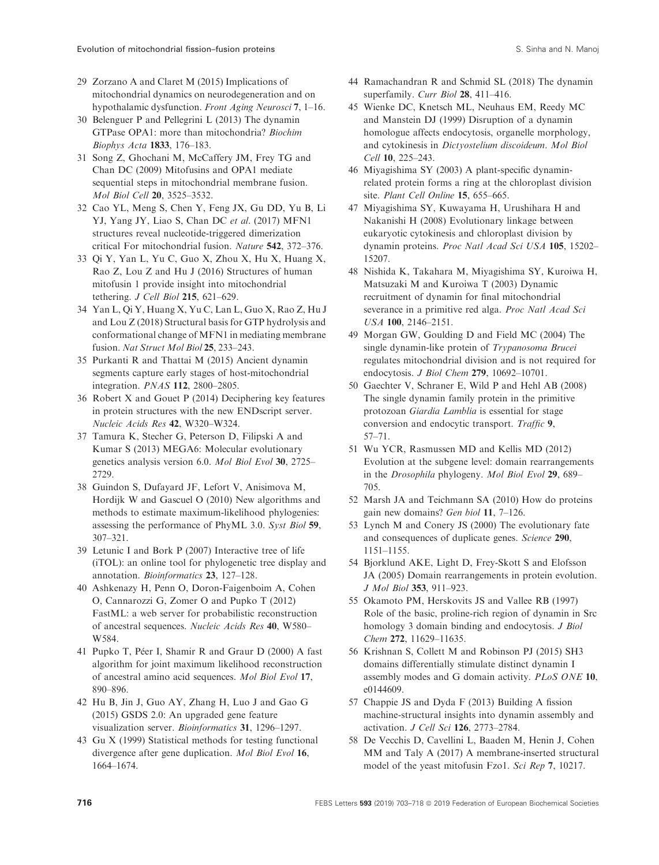- 29 Zorzano A and Claret M (2015) Implications of mitochondrial dynamics on neurodegeneration and on hypothalamic dysfunction. Front Aging Neurosci 7, 1–16.
- 30 Belenguer P and Pellegrini L (2013) The dynamin GTPase OPA1: more than mitochondria? Biochim Biophys Acta 1833, 176–183.
- 31 Song Z, Ghochani M, McCaffery JM, Frey TG and Chan DC (2009) Mitofusins and OPA1 mediate sequential steps in mitochondrial membrane fusion. Mol Biol Cell 20, 3525–3532.
- 32 Cao YL, Meng S, Chen Y, Feng JX, Gu DD, Yu B, Li YJ, Yang JY, Liao S, Chan DC et al. (2017) MFN1 structures reveal nucleotide-triggered dimerization critical For mitochondrial fusion. Nature 542, 372–376.
- 33 Qi Y, Yan L, Yu C, Guo X, Zhou X, Hu X, Huang X, Rao Z, Lou Z and Hu J (2016) Structures of human mitofusin 1 provide insight into mitochondrial tethering. J Cell Biol 215, 621–629.
- 34 Yan L, Qi Y, Huang X, Yu C, Lan L, Guo X, Rao Z, Hu J and Lou Z (2018) Structural basis for GTP hydrolysis and conformational change of MFN1 in mediating membrane fusion. Nat Struct Mol Biol 25, 233-243.
- 35 Purkanti R and Thattai M (2015) Ancient dynamin segments capture early stages of host-mitochondrial integration. PNAS 112, 2800–2805.
- 36 Robert X and Gouet P (2014) Deciphering key features in protein structures with the new ENDscript server. Nucleic Acids Res 42, W320–W324.
- 37 Tamura K, Stecher G, Peterson D, Filipski A and Kumar S (2013) MEGA6: Molecular evolutionary genetics analysis version 6.0. Mol Biol Evol 30, 2725– 2729.
- 38 Guindon S, Dufayard JF, Lefort V, Anisimova M, Hordijk W and Gascuel O (2010) New algorithms and methods to estimate maximum-likelihood phylogenies: assessing the performance of PhyML 3.0. Syst Biol 59, 307–321.
- 39 Letunic I and Bork P (2007) Interactive tree of life (iTOL): an online tool for phylogenetic tree display and annotation. Bioinformatics 23, 127–128.
- 40 Ashkenazy H, Penn O, Doron-Faigenboim A, Cohen O, Cannarozzi G, Zomer O and Pupko T (2012) FastML: a web server for probabilistic reconstruction of ancestral sequences. Nucleic Acids Res 40, W580– W584.
- 41 Pupko T, Péer I, Shamir R and Graur D (2000) A fast algorithm for joint maximum likelihood reconstruction of ancestral amino acid sequences. Mol Biol Evol 17, 890–896.
- 42 Hu B, Jin J, Guo AY, Zhang H, Luo J and Gao G (2015) GSDS 2.0: An upgraded gene feature visualization server. Bioinformatics 31, 1296–1297.
- 43 Gu X (1999) Statistical methods for testing functional divergence after gene duplication. Mol Biol Evol 16, 1664–1674.
- 44 Ramachandran R and Schmid SL (2018) The dynamin superfamily. Curr Biol 28, 411-416.
- 45 Wienke DC, Knetsch ML, Neuhaus EM, Reedy MC and Manstein DJ (1999) Disruption of a dynamin homologue affects endocytosis, organelle morphology, and cytokinesis in Dictyostelium discoideum. Mol Biol Cell 10, 225–243.
- 46 Miyagishima SY (2003) A plant-specific dynaminrelated protein forms a ring at the chloroplast division site. Plant Cell Online 15, 655-665.
- 47 Miyagishima SY, Kuwayama H, Urushihara H and Nakanishi H (2008) Evolutionary linkage between eukaryotic cytokinesis and chloroplast division by dynamin proteins. Proc Natl Acad Sci USA 105, 15202– 15207.
- 48 Nishida K, Takahara M, Miyagishima SY, Kuroiwa H, Matsuzaki M and Kuroiwa T (2003) Dynamic recruitment of dynamin for final mitochondrial severance in a primitive red alga. Proc Natl Acad Sci USA 100, 2146–2151.
- 49 Morgan GW, Goulding D and Field MC (2004) The single dynamin-like protein of Trypanosoma Brucei regulates mitochondrial division and is not required for endocytosis. J Biol Chem 279, 10692–10701.
- 50 Gaechter V, Schraner E, Wild P and Hehl AB (2008) The single dynamin family protein in the primitive protozoan Giardia Lamblia is essential for stage conversion and endocytic transport. Traffic 9, 57–71.
- 51 Wu YCR, Rasmussen MD and Kellis MD (2012) Evolution at the subgene level: domain rearrangements in the Drosophila phylogeny. Mol Biol Evol 29, 689– 705.
- 52 Marsh JA and Teichmann SA (2010) How do proteins gain new domains? Gen biol 11, 7–126.
- 53 Lynch M and Conery JS (2000) The evolutionary fate and consequences of duplicate genes. Science 290, 1151–1155.
- 54 Bjorklund AKE, Light D, Frey-Skott S and Elofsson JA (2005) Domain rearrangements in protein evolution. J Mol Biol 353, 911–923.
- 55 Okamoto PM, Herskovits JS and Vallee RB (1997) Role of the basic, proline-rich region of dynamin in Src homology 3 domain binding and endocytosis. J Biol Chem 272, 11629–11635.
- 56 Krishnan S, Collett M and Robinson PJ (2015) SH3 domains differentially stimulate distinct dynamin I assembly modes and G domain activity. PLoS ONE 10, e0144609.
- 57 Chappie JS and Dyda F (2013) Building A fission machine-structural insights into dynamin assembly and activation. J Cell Sci 126, 2773–2784.
- 58 De Vecchis D, Cavellini L, Baaden M, Henin J, Cohen MM and Taly A (2017) A membrane-inserted structural model of the yeast mitofusin Fzo1. Sci Rep 7, 10217.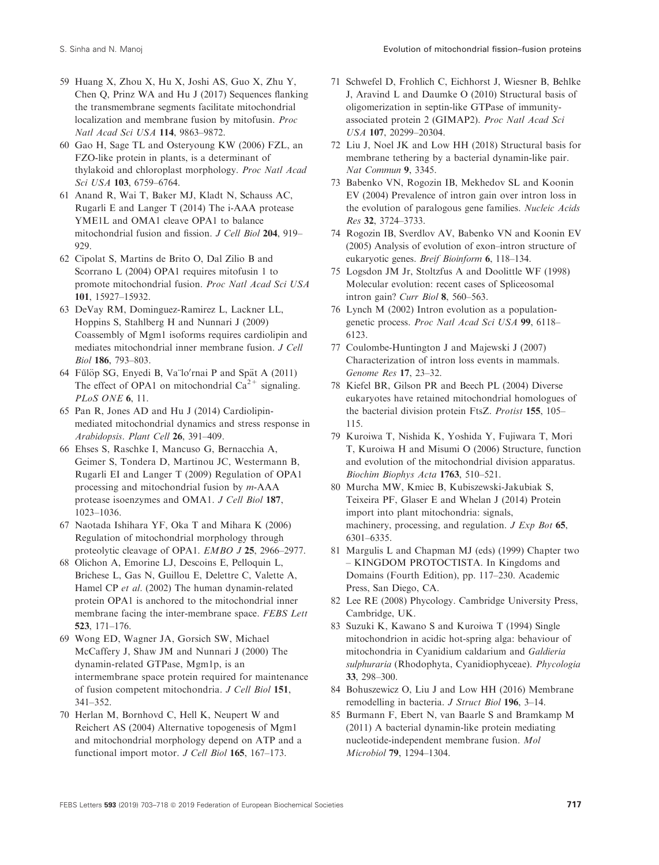- 59 Huang X, Zhou X, Hu X, Joshi AS, Guo X, Zhu Y, Chen Q, Prinz WA and Hu J (2017) Sequences flanking the transmembrane segments facilitate mitochondrial localization and membrane fusion by mitofusin. Proc Natl Acad Sci USA 114, 9863–9872.
- 60 Gao H, Sage TL and Osteryoung KW (2006) FZL, an FZO-like protein in plants, is a determinant of thylakoid and chloroplast morphology. Proc Natl Acad Sci USA 103, 6759–6764.
- 61 Anand R, Wai T, Baker MJ, Kladt N, Schauss AC, Rugarli E and Langer T (2014) The i-AAA protease YME1L and OMA1 cleave OPA1 to balance mitochondrial fusion and fission. J Cell Biol 204, 919– 929.
- 62 Cipolat S, Martins de Brito O, Dal Zilio B and Scorrano L (2004) OPA1 requires mitofusin 1 to promote mitochondrial fusion. Proc Natl Acad Sci USA 101, 15927–15932.
- 63 DeVay RM, Dominguez-Ramirez L, Lackner LL, Hoppins S, Stahlberg H and Nunnari J (2009) Coassembly of Mgm1 isoforms requires cardiolipin and mediates mitochondrial inner membrane fusion. J Cell Biol 186, 793–803.
- 64 Fűlöp SG, Enyedi B, Va"lo'rnai P and Spät A (2011) The effect of OPA1 on mitochondrial  $Ca^{2+}$  signaling. PLoS ONE 6, 11.
- 65 Pan R, Jones AD and Hu J (2014) Cardiolipinmediated mitochondrial dynamics and stress response in Arabidopsis. Plant Cell 26, 391–409.
- 66 Ehses S, Raschke I, Mancuso G, Bernacchia A, Geimer S, Tondera D, Martinou JC, Westermann B, Rugarli EI and Langer T (2009) Regulation of OPA1 processing and mitochondrial fusion by m-AAA protease isoenzymes and OMA1. J Cell Biol 187, 1023–1036.
- 67 Naotada Ishihara YF, Oka T and Mihara K (2006) Regulation of mitochondrial morphology through proteolytic cleavage of OPA1. EMBO J 25, 2966–2977.
- 68 Olichon A, Emorine LJ, Descoins E, Pelloquin L, Brichese L, Gas N, Guillou E, Delettre C, Valette A, Hamel CP et al. (2002) The human dynamin-related protein OPA1 is anchored to the mitochondrial inner membrane facing the inter-membrane space. FEBS Lett 523, 171–176.
- 69 Wong ED, Wagner JA, Gorsich SW, Michael McCaffery J, Shaw JM and Nunnari J (2000) The dynamin-related GTPase, Mgm1p, is an intermembrane space protein required for maintenance of fusion competent mitochondria. J Cell Biol 151, 341–352.
- 70 Herlan M, Bornhovd C, Hell K, Neupert W and Reichert AS (2004) Alternative topogenesis of Mgm1 and mitochondrial morphology depend on ATP and a functional import motor. J Cell Biol 165, 167-173.
- 71 Schwefel D, Frohlich C, Eichhorst J, Wiesner B, Behlke J, Aravind L and Daumke O (2010) Structural basis of oligomerization in septin-like GTPase of immunityassociated protein 2 (GIMAP2). Proc Natl Acad Sci USA 107, 20299–20304.
- 72 Liu J, Noel JK and Low HH (2018) Structural basis for membrane tethering by a bacterial dynamin-like pair. Nat Commun 9, 3345.
- 73 Babenko VN, Rogozin IB, Mekhedov SL and Koonin EV (2004) Prevalence of intron gain over intron loss in the evolution of paralogous gene families. Nucleic Acids Res 32, 3724–3733.
- 74 Rogozin IB, Sverdlov AV, Babenko VN and Koonin EV (2005) Analysis of evolution of exon–intron structure of eukaryotic genes. Breif Bioinform 6, 118–134.
- 75 Logsdon JM Jr, Stoltzfus A and Doolittle WF (1998) Molecular evolution: recent cases of Spliceosomal intron gain? Curr Biol 8, 560–563.
- 76 Lynch M (2002) Intron evolution as a populationgenetic process. Proc Natl Acad Sci USA 99, 6118– 6123.
- 77 Coulombe-Huntington J and Majewski J (2007) Characterization of intron loss events in mammals. Genome Res 17, 23–32.
- 78 Kiefel BR, Gilson PR and Beech PL (2004) Diverse eukaryotes have retained mitochondrial homologues of the bacterial division protein FtsZ. Protist 155, 105– 115.
- 79 Kuroiwa T, Nishida K, Yoshida Y, Fujiwara T, Mori T, Kuroiwa H and Misumi O (2006) Structure, function and evolution of the mitochondrial division apparatus. Biochim Biophys Acta 1763, 510–521.
- 80 Murcha MW, Kmiec B, Kubiszewski-Jakubiak S, Teixeira PF, Glaser E and Whelan J (2014) Protein import into plant mitochondria: signals, machinery, processing, and regulation. *J Exp Bot* 65, 6301–6335.
- 81 Margulis L and Chapman MJ (eds) (1999) Chapter two – KINGDOM PROTOCTISTA. In Kingdoms and Domains (Fourth Edition), pp. 117–230. Academic Press, San Diego, CA.
- 82 Lee RE (2008) Phycology. Cambridge University Press, Cambridge, UK.
- 83 Suzuki K, Kawano S and Kuroiwa T (1994) Single mitochondrion in acidic hot-spring alga: behaviour of mitochondria in Cyanidium caldarium and Galdieria sulphuraria (Rhodophyta, Cyanidiophyceae). Phycologia 33, 298–300.
- 84 Bohuszewicz O, Liu J and Low HH (2016) Membrane remodelling in bacteria. J Struct Biol 196, 3-14.
- 85 Burmann F, Ebert N, van Baarle S and Bramkamp M (2011) A bacterial dynamin-like protein mediating nucleotide-independent membrane fusion. Mol Microbiol 79, 1294–1304.